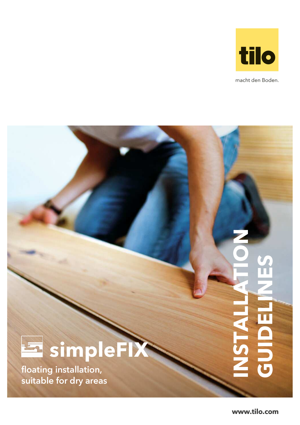

macht den Boden.



floating installation, suitable for dry areas

**www.tilo.com**

**INSTALLATION**

**GUIDE**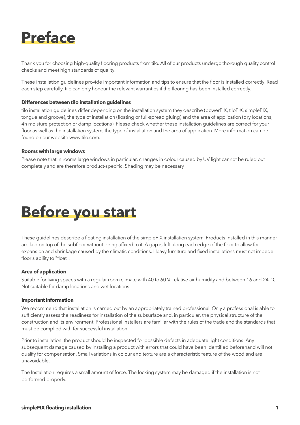

Thank you for choosing high-quality flooring products from tilo. All of our products undergo thorough quality control checks and meet high standards of quality.

These installation guidelines provide important information and tips to ensure that the floor is installed correctly. Read each step carefully. tilo can only honour the relevant warranties if the flooring has been installed correctly.

#### **Differences between tilo installation guidelines**

tilo installation guidelines differ depending on the installation system they describe (powerFIX, tiloFIX, simpleFIX, tongue and groove), the type of installation (floating or full-spread gluing) and the area of application (dry locations, 4h moisture protection or damp locations). Please check whether these installation guidelines are correct for your floor as well as the installation system, the type of installation and the area of application. More information can be found on our website www.tilo.com.

#### **Rooms with large windows**

Please note that in rooms large windows in particular, changes in colour caused by UV light cannot be ruled out completely and are therefore product-specific. Shading may be necessary



These guidelines describe a floating installation of the simpleFIX installation system. Products installed in this manner are laid on top of the subfloor without being affixed to it. A gap is left along each edge of the floor to allow for expansion and shrinkage caused by the climatic conditions. Heavy furniture and fixed installations must not impede floor's ability to "float".

#### **Area of application**

Suitable for living spaces with a regular room climate with 40 to 60 % relative air humidity and between 16 and 24 ° C. Not suitable for damp locations and wet locations.

#### **Important information**

We recommend that installation is carried out by an appropriately trained professional. Only a professional is able to sufficiently assess the readiness for installation of the subsurface and, in particular, the physical structure of the construction and its environment. Professional installers are familiar with the rules of the trade and the standards that must be complied with for successful installation.

Prior to installation, the product should be inspected for possible defects in adequate light conditions. Any subsequent damage caused by installing a product with errors that could have been identified beforehand will not qualify for compensation. Small variations in colour and texture are a characteristic feature of the wood and are unavoidable.

The Installation requires a small amount of force. The locking system may be damaged if the installation is not performed properly.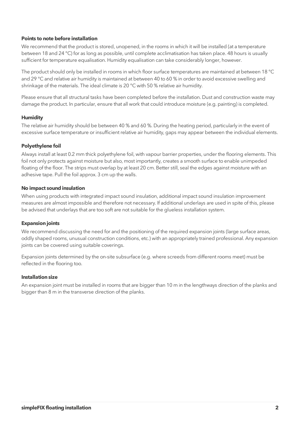## **Points to note before installation**

We recommend that the product is stored, unopened, in the rooms in which it will be installed (at a temperature between 18 and 24 °C) for as long as possible, until complete acclimatisation has taken place. 48 hours is usually sufficient for temperature equalisation. Humidity equalisation can take considerably longer, however.

The product should only be installed in rooms in which floor surface temperatures are maintained at between 18 °C and 29 °C and relative air humidity is maintained at between 40 to 60 % in order to avoid excessive swelling and shrinkage of the materials. The ideal climate is 20 °C with 50 % relative air humidity.

Please ensure that all structural tasks have been completed before the installation. Dust and construction waste may damage the product. In particular, ensure that all work that could introduce moisture (e.g. painting) is completed.

## **Humidity**

The relative air humidity should be between 40 % and 60 %. During the heating period, particularly in the event of excessive surface temperature or insufficient relative air humidity, gaps may appear between the individual elements.

## **Polyethylene foil**

Always install at least 0.2 mm thick polyethylene foil, with vapour barrier properties, under the flooring elements. This foil not only protects against moisture but also, most importantly, creates a smooth surface to enable unimpeded floating of the floor. The strips must overlap by at least 20 cm. Better still, seal the edges against moisture with an adhesive tape. Pull the foil approx. 3 cm up the walls.

#### **No impact sound insulation**

When using products with integrated impact sound insulation, additional impact sound insulation improvement measures are almost impossible and therefore not necessary. If additional underlays are used in spite of this, please be advised that underlays that are too soft are not suitable for the glueless installation system.

#### **Expansion joints**

We recommend discussing the need for and the positioning of the required expansion joints (large surface areas, oddly shaped rooms, unusual construction conditions, etc.) with an appropriately trained professional. Any expansion joints can be covered using suitable coverings.

Expansion joints determined by the on-site subsurface (e.g. where screeds from different rooms meet) must be reflected in the flooring too.

#### **Installation size**

An expansion joint must be installed in rooms that are bigger than 10 m in the lengthways direction of the planks and bigger than 8 m in the transverse direction of the planks.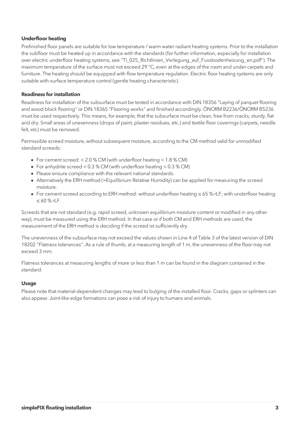# **Underfloor heating**

Prefinished floor panels are suitable for low temperature / warm water radiant heating systems. Prior to the installation the subfloor must be heated up in accordance with the standards (for further information, especially for installation over electric underfloor heating systems, see "TI\_025\_Richtlinien\_Verlegung\_auf\_Fussbodenheizung\_en.pdf"). The maximum temperature of the surface must not exceed 29 °C, even at the edges of the room and under carpets and furniture. The heating should be equipped with flow temperature regulation. Electric floor heating systems are only suitable with surface temperature control (gentle heating characteristic).

## **Readiness for installation**

Readiness for installation of the subsurface must be tested in accordance with DIN 18356 "Laying of parquet flooring and wood block flooring" or DIN 18365 "Flooring works" and finished accordingly. ÖNORM B2236/ÖNORM B5236 must be used respectively. This means, for example, that the subsurface must be clean, free from cracks, sturdy, flat and dry. Small areas of unevenness (drops of paint, plaster residues, etc.) and textile floor coverings (carpets, needle felt, etc) must be removed.

Permissible screed moisture, without subsequent moisture, according to the CM method valid for unmodified standard screeds:

- For cement screed: < 2.0 % CM (with underfloor heating < 1.8 % CM)
- For anhydrite screed < 0.3 % CM (with underfloor heating < 0.3 % CM)
- Please ensure compliance with the relevant national standards.
- Alternatively the ERH method (=Equilibrium Relative Humidity) can be applied for measuring the screed moisture.
- For cement screed according to ERH method: without underfloor heating ≤ 65 % rLF; with underfloor heating ≤ 60 % rLF

Screeds that are not standard (e.g. rapid screed, unknown equilibrium moisture content or modified in any other way), must be measured using the ERH method. In that case or if both CM and ERH methods are used, the measurement of the ERH method is deciding if the screed ist sufficiently dry.

The unevenness of the subsurface may not exceed the values shown in Line 4 of Table 3 of the latest version of DIN 18202 "Flatness tolerances". As a rule of thumb, at a measuring length of 1 m, the unevenness of the floor may not exceed 3 mm.

Flatness tolerances at measuring lengths of more or less than 1 m can be found in the diagram contained in the standard.

#### **Usage**

Please note that material-dependent changes may lead to bulging of the installed floor. Cracks, gaps or splinters can also appear. Joint-like edge formations can pose a risk of injury to humans and animals.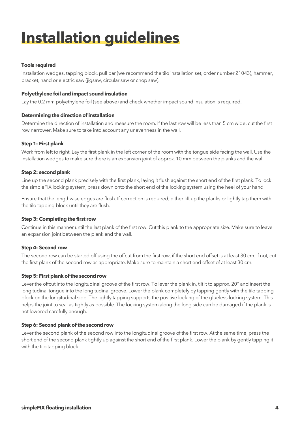# **Installation guidelines**

# **Tools required**

installation wedges, tapping block, pull bar (we recommend the tilo installation set, order number Z1043), hammer, bracket, hand or electric saw (jigsaw, circular saw or chop saw).

# **Polyethylene foil and impact sound insulation**

Lay the 0.2 mm polyethylene foil (see above) and check whether impact sound insulation is required.

# **Determining the direction of installation**

Determine the direction of installation and measure the room. If the last row will be less than 5 cm wide, cut the first row narrower. Make sure to take into account any unevenness in the wall.

# **Step 1: First plank**

Work from left to right. Lay the first plank in the left corner of the room with the tongue side facing the wall. Use the installation wedges to make sure there is an expansion joint of approx. 10 mm between the planks and the wall.

# **Step 2: second plank**

Line up the second plank precisely with the first plank, laying it flush against the short end of the first plank. To lock the simpleFIX locking system, press down onto the short end of the locking system using the heel of your hand.

Ensure that the lengthwise edges are flush. If correction is required, either lift up the planks or lightly tap them with the tilo tapping block until they are flush.

# **Step 3: Completing the first row**

Continue in this manner until the last plank of the first row. Cut this plank to the appropriate size. Make sure to leave an expansion joint between the plank and the wall.

# **Step 4: Second row**

The second row can be started off using the offcut from the first row, if the short end offset is at least 30 cm. If not, cut the first plank of the second row as appropriate. Make sure to maintain a short end offset of at least 30 cm.

# **Step 5: First plank of the second row**

Lever the offcut into the longitudinal groove of the first row. To lever the plank in, tilt it to approx. 20° and insert the longitudinal tongue into the longitudinal groove. Lower the plank completely by tapping gently with the tilo tapping block on the longitudinal side. The lightly tapping supports the positive locking of the glueless locking system. This helps the joint to seal as tightly as possible. The locking system along the long side can be damaged if the plank is not lowered carefully enough.

# **Step 6: Second plank of the second row**

Lever the second plank of the second row into the longitudinal groove of the first row. At the same time, press the short end of the second plank tightly up against the short end of the first plank. Lower the plank by gently tapping it with the tilo tapping block.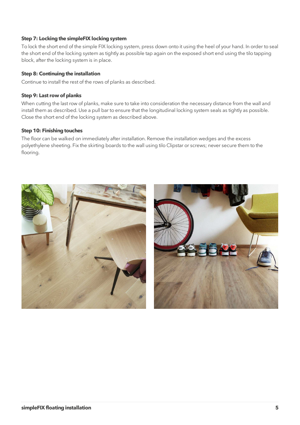# **Step 7: Locking the simpleFIX locking system**

To lock the short end of the simple FIX locking system, press down onto it using the heel of your hand. In order to seal the short end of the locking system as tightly as possible tap again on the exposed short end using the tilo tapping block, after the locking system is in place.

# **Step 8: Continuing the installation**

Continue to install the rest of the rows of planks as described.

## **Step 9: Last row of planks**

When cutting the last row of planks, make sure to take into consideration the necessary distance from the wall and install them as described. Use a pull bar to ensure that the longitudinal locking system seals as tightly as possible. Close the short end of the locking system as described above.

## **Step 10: Finishing touches**

The floor can be walked on immediately after installation. Remove the installation wedges and the excess polyethylene sheeting. Fix the skirting boards to the wall using tilo Clipstar or screws; never secure them to the flooring.